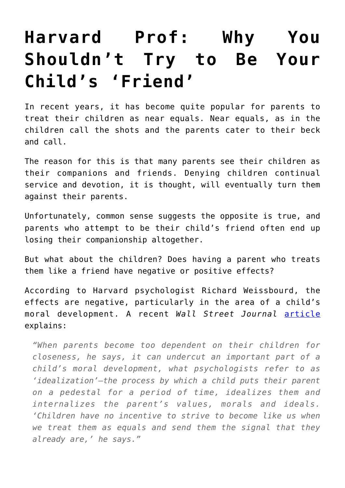## **[Harvard Prof: Why You](https://intellectualtakeout.org/2017/08/harvard-prof-why-you-shouldnt-try-to-be-your-childs-friend/) [Shouldn't Try to Be Your](https://intellectualtakeout.org/2017/08/harvard-prof-why-you-shouldnt-try-to-be-your-childs-friend/) [Child's 'Friend'](https://intellectualtakeout.org/2017/08/harvard-prof-why-you-shouldnt-try-to-be-your-childs-friend/)**

In recent years, it has become quite popular for parents to treat their children as near equals. Near equals, as in the children call the shots and the parents cater to their beck and call.

The reason for this is that many parents see their children as their companions and friends. Denying children continual service and devotion, it is thought, will eventually turn them against their parents.

Unfortunately, common sense suggests the opposite is true, and parents who attempt to be their child's friend often end up losing their companionship altogether.

But what about the children? Does having a parent who treats them like a friend have negative or positive effects?

According to Harvard psychologist Richard Weissbourd, the effects are negative, particularly in the area of a child's moral development. A recent *Wall Street Journal* [article](https://www.wsj.com/articles/children-should-be-heard-but-only-so-much-1500650055) explains:

*"When parents become too dependent on their children for closeness, he says, it can undercut an important part of a child's moral development, what psychologists refer to as 'idealization'—the process by which a child puts their parent on a pedestal for a period of time, idealizes them and internalizes the parent's values, morals and ideals. 'Children have no incentive to strive to become like us when we treat them as equals and send them the signal that they already are,' he says."*